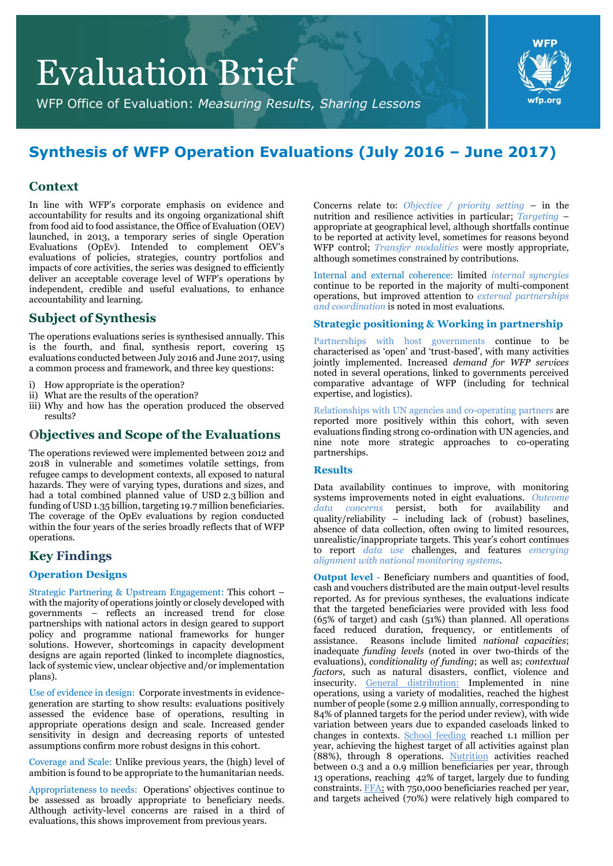## Evaluation Brief

WFP Office of Evaluation: *Measuring Results, Sharing Lessons*

# wfp.org

### **Synthesis of WFP Operation Evaluations (July 2016 – June 2017)**

#### **Context**

In line with WFP's corporate emphasis on evidence and accountability for results and its ongoing organizational shift from food aid to food assistance, the Office of Evaluation (OEV) launched, in 2013, a temporary series of single Operation Evaluations (OpEv). Intended to complement OEV's evaluations of policies, strategies, country portfolios and impacts of core activities, the series was designed to efficiently deliver an acceptable coverage level of WFP's operations by independent, credible and useful evaluations, to enhance accountability and learning.

#### **Subject of Synthesis**

The operations evaluations series is synthesised annually. This is the fourth, and final, synthesis report, covering 15 evaluations conducted between July 2016 and June 2017, using a common process and framework, and three key questions:

- i) How appropriate is the operation?
- ii) What are the results of the operation?
- iii) Why and how has the operation produced the observed results?

#### **Objectives and Scope of the Evaluations**

The operations reviewed were implemented between 2012 and 2018 in vulnerable and sometimes volatile settings, from refugee camps to development contexts, all exposed to natural hazards. They were of varying types, durations and sizes, and had a total combined planned value of USD 2.3 billion and funding of USD 1.35 billion, targeting 19.7 million beneficiaries. The coverage of the OpEv evaluations by region conducted within the four years of the series broadly reflects that of WFP operations.

#### **Key Findings**

#### **Operation Designs**

Strategic Partnering & Upstream Engagement: This cohort – with the majority of operations jointly or closely developed with governments – reflects an increased trend for close partnerships with national actors in design geared to support policy and programme national frameworks for hunger solutions. However, shortcomings in capacity development designs are again reported (linked to incomplete diagnostics, lack of systemic view, unclear objective and/or implementation plans).

Use of evidence in design: Corporate investments in evidencegeneration are starting to show results: evaluations positively assessed the evidence base of operations, resulting in appropriate operations design and scale. Increased gender sensitivity in design and decreasing reports of untested assumptions confirm more robust designs in this cohort.

Coverage and Scale: Unlike previous years, the (high) level of ambition is found to be appropriate to the humanitarian needs.

Appropriateness to needs: Operations' objectives continue to be assessed as broadly appropriate to beneficiary needs. Although activity-level concerns are raised in a third of evaluations, this shows improvement from previous years.

Concerns relate to: *Objective / priority setting* – in the nutrition and resilience activities in particular; *Targeting* – appropriate at geographical level, although shortfalls continue to be reported at activity level, sometimes for reasons beyond WFP control; *Transfer modalities* were mostly appropriate, although sometimes constrained by contributions.

Internal and external coherence: limited *internal synergies*  continue to be reported in the majority of multi-component operations, but improved attention to *external partnerships and coordination* is noted in most evaluations.

#### **Strategic positioning & Working in partnership**

Partnerships with host governments continue to be characterised as 'open' and 'trust-based', with many activities jointly implemented. Increased *demand for WFP services* noted in several operations, linked to governments perceived comparative advantage of WFP (including for technical expertise, and logistics).

Relationships with UN agencies and co-operating partners are reported more positively within this cohort, with seven evaluations finding strong co-ordination with UN agencies, and nine note more strategic approaches to co-operating partnerships.

#### **Results**

Data availability continues to improve, with monitoring systems improvements noted in eight evaluations. *Outcome data concerns* persist, both for availability and quality/reliability – including lack of (robust) baselines, absence of data collection, often owing to limited resources, unrealistic/inappropriate targets. This year's cohort continues to report *data use* challenges, and features *emerging alignment with national monitoring systems*.

**Output level** - Beneficiary numbers and quantities of food, cash and vouchers distributed are the main output-level results reported. As for previous syntheses, the evaluations indicate that the targeted beneficiaries were provided with less food (65% of target) and cash (51%) than planned. All operations faced reduced duration, frequency, or entitlements of assistance. Reasons include limited *national capacities*; inadequate *funding levels* (noted in over two-thirds of the evaluations), *conditionality of funding*; as well as; *contextual factors*, such as natural disasters, conflict, violence and insecurity. General distribution: Implemented in nine operations, using a variety of modalities, reached the highest number of people (some 2.9 million annually, corresponding to 84% of planned targets for the period under review), with wide variation between years due to expanded caseloads linked to changes in contexts. School feeding reached 1.1 million per year, achieving the highest target of all activities against plan (88%), through 8 operations. Nutrition activities reached between 0.3 and a 0.9 million beneficiaries per year, through 13 operations, reaching 42% of target, largely due to funding constraints. FFA: with 750,000 beneficiaries reached per year, and targets acheived (70%) were relatively high compared to